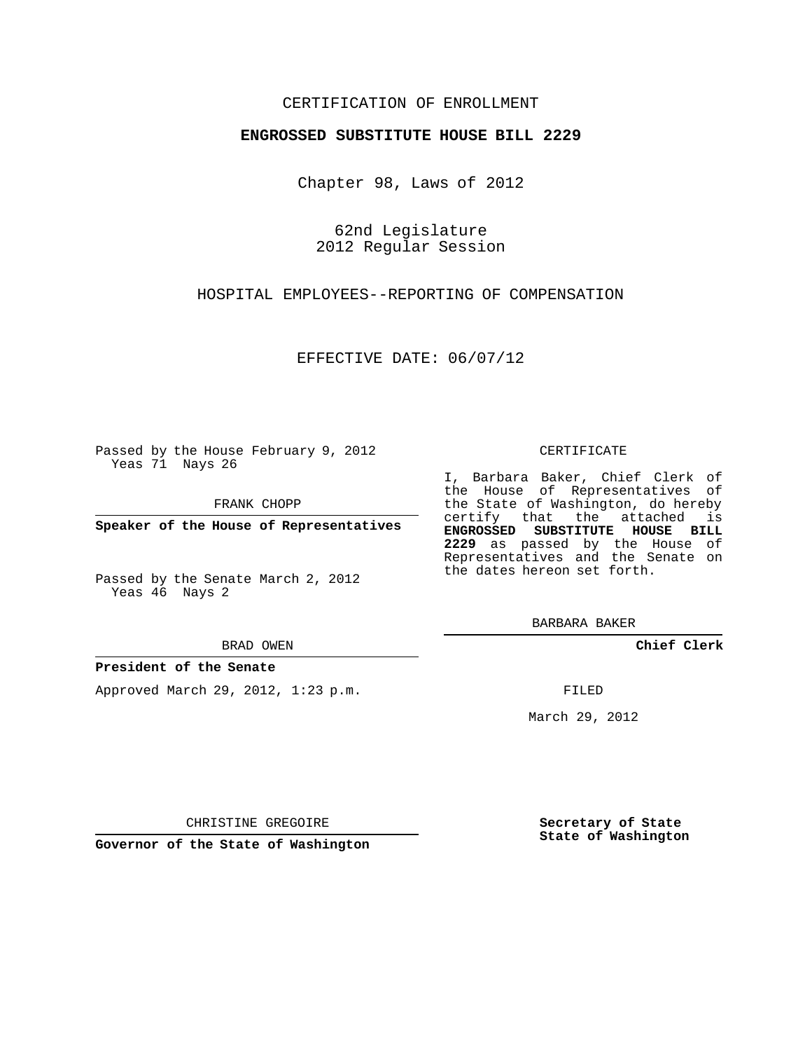### CERTIFICATION OF ENROLLMENT

#### **ENGROSSED SUBSTITUTE HOUSE BILL 2229**

Chapter 98, Laws of 2012

62nd Legislature 2012 Regular Session

HOSPITAL EMPLOYEES--REPORTING OF COMPENSATION

EFFECTIVE DATE: 06/07/12

Passed by the House February 9, 2012 Yeas 71 Nays 26

FRANK CHOPP

**Speaker of the House of Representatives**

Passed by the Senate March 2, 2012 Yeas 46 Nays 2

BRAD OWEN

#### **President of the Senate**

Approved March 29, 2012, 1:23 p.m.

#### CERTIFICATE

I, Barbara Baker, Chief Clerk of the House of Representatives of the State of Washington, do hereby certify that the attached is **ENGROSSED SUBSTITUTE HOUSE BILL 2229** as passed by the House of Representatives and the Senate on the dates hereon set forth.

BARBARA BAKER

**Chief Clerk**

FILED

March 29, 2012

CHRISTINE GREGOIRE

**Governor of the State of Washington**

**Secretary of State State of Washington**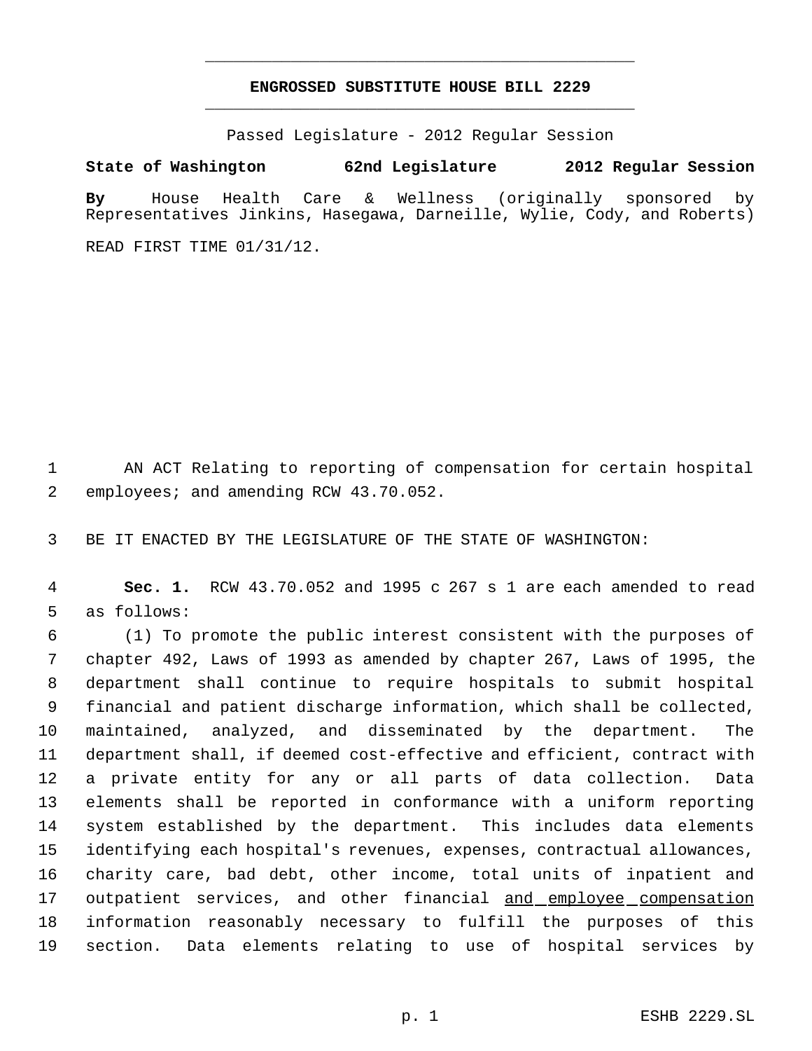# **ENGROSSED SUBSTITUTE HOUSE BILL 2229** \_\_\_\_\_\_\_\_\_\_\_\_\_\_\_\_\_\_\_\_\_\_\_\_\_\_\_\_\_\_\_\_\_\_\_\_\_\_\_\_\_\_\_\_\_

\_\_\_\_\_\_\_\_\_\_\_\_\_\_\_\_\_\_\_\_\_\_\_\_\_\_\_\_\_\_\_\_\_\_\_\_\_\_\_\_\_\_\_\_\_

Passed Legislature - 2012 Regular Session

## **State of Washington 62nd Legislature 2012 Regular Session**

**By** House Health Care & Wellness (originally sponsored by Representatives Jinkins, Hasegawa, Darneille, Wylie, Cody, and Roberts) READ FIRST TIME 01/31/12.

 AN ACT Relating to reporting of compensation for certain hospital employees; and amending RCW 43.70.052.

BE IT ENACTED BY THE LEGISLATURE OF THE STATE OF WASHINGTON:

 **Sec. 1.** RCW 43.70.052 and 1995 c 267 s 1 are each amended to read as follows:

 (1) To promote the public interest consistent with the purposes of chapter 492, Laws of 1993 as amended by chapter 267, Laws of 1995, the department shall continue to require hospitals to submit hospital financial and patient discharge information, which shall be collected, maintained, analyzed, and disseminated by the department. The department shall, if deemed cost-effective and efficient, contract with a private entity for any or all parts of data collection. Data elements shall be reported in conformance with a uniform reporting system established by the department. This includes data elements identifying each hospital's revenues, expenses, contractual allowances, charity care, bad debt, other income, total units of inpatient and 17 outpatient services, and other financial and employee compensation information reasonably necessary to fulfill the purposes of this section. Data elements relating to use of hospital services by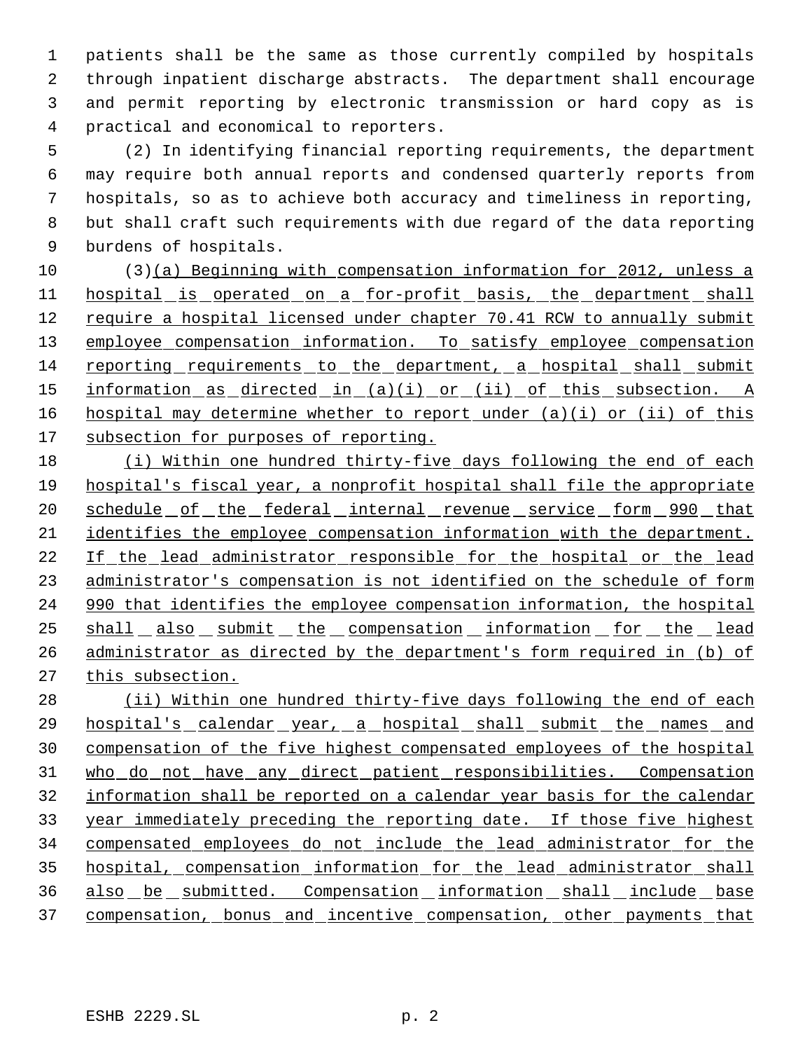patients shall be the same as those currently compiled by hospitals through inpatient discharge abstracts. The department shall encourage and permit reporting by electronic transmission or hard copy as is practical and economical to reporters.

 (2) In identifying financial reporting requirements, the department may require both annual reports and condensed quarterly reports from hospitals, so as to achieve both accuracy and timeliness in reporting, but shall craft such requirements with due regard of the data reporting burdens of hospitals.

 (3)(a) Beginning with compensation information for 2012, unless a 11 hospital is operated on a for-profit basis, the department shall 12 require a hospital licensed under chapter 70.41 RCW to annually submit employee compensation information. To satisfy employee compensation reporting requirements to the department, a hospital shall submit information as directed in (a)(i) or (ii) of this subsection. A 16 hospital may determine whether to report under (a)(i) or (ii) of this 17 subsection for purposes of reporting.

 (i) Within one hundred thirty-five days following the end of each hospital's fiscal year, a nonprofit hospital shall file the appropriate 20 schedule of the federal internal revenue service form 990 that identifies the employee compensation information with the department. If the lead administrator responsible for the hospital or the lead administrator's compensation is not identified on the schedule of form 990 that identifies the employee compensation information, the hospital shall also submit the compensation information for the lead 26 administrator as directed by the department's form required in (b) of this subsection.

28 (ii) Within one hundred thirty-five days following the end of each hospital's calendar year, a hospital shall submit the names and compensation of the five highest compensated employees of the hospital who do not have any direct patient responsibilities. Compensation information shall be reported on a calendar year basis for the calendar year immediately preceding the reporting date. If those five highest compensated employees do not include the lead administrator for the hospital, compensation information for the lead administrator shall also be submitted. Compensation information shall include base 37 compensation, bonus and incentive compensation, other payments that